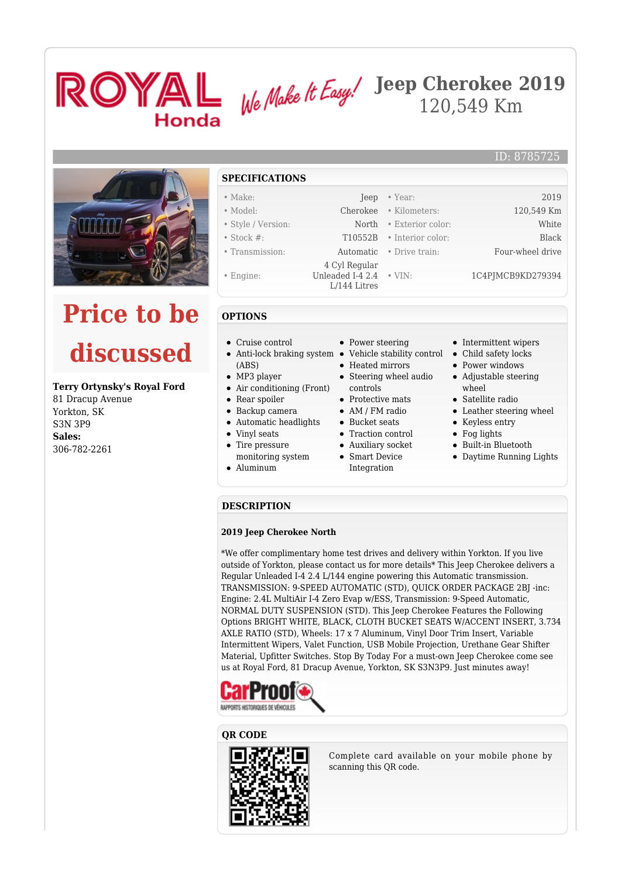



# **Price to be discussed**

#### **Terry Ortynsky's Royal Ford**

81 Dracup Avenue Yorkton, SK S3N 3P9 **Sales:** 306-782-2261

### **SPECIFICATIONS**

- Make: Jeep Year: 2019
- Model: Cherokee Kilometers: 120,549 Km • Style / Version: North • Exterior color: White
- Stock #: T10552B Interior color: Black
- Transmission: Automatic Drive train: Four-wheel drive
- 
- Engine:
- **OPTIONS**
- Cruise control
- (ABS)
- MP3 player
- Air conditioning (Front)
- Rear spoiler
- Backup camera Automatic headlights
- Vinyl seats
- $\bullet$ Tire pressure
- monitoring system
- Aluminum

• Power steering

 4 Cyl Regular Unleaded I-4 2.4 L/144 Litres

- Anti-lock braking system Vehicle stability control
	- Heated mirrors
	- Steering wheel audio controls
	- Protective mats
	- AM / FM radio
	- Bucket seats
	- Traction control Auxiliary socket
	- Smart Device
	- Integration

• Intermittent wipers

ID: 8785725

• Child safety locks

• VIN: 1C4PIMCB9KD279394

- Power windows
- Adjustable steering wheel
- Satellite radio
- Leather steering wheel
- Keyless entry
- Fog lights
- Built-in Bluetooth
- Daytime Running Lights

#### **DESCRIPTION**

#### **2019 Jeep Cherokee North**

\*We offer complimentary home test drives and delivery within Yorkton. If you live outside of Yorkton, please contact us for more details\* This Jeep Cherokee delivers a Regular Unleaded I-4 2.4 L/144 engine powering this Automatic transmission. TRANSMISSION: 9-SPEED AUTOMATIC (STD), QUICK ORDER PACKAGE 2BJ -inc: Engine: 2.4L MultiAir I-4 Zero Evap w/ESS, Transmission: 9-Speed Automatic, NORMAL DUTY SUSPENSION (STD). This Jeep Cherokee Features the Following Options BRIGHT WHITE, BLACK, CLOTH BUCKET SEATS W/ACCENT INSERT, 3.734 AXLE RATIO (STD), Wheels: 17 x 7 Aluminum, Vinyl Door Trim Insert, Variable Intermittent Wipers, Valet Function, USB Mobile Projection, Urethane Gear Shifter Material, Upfitter Switches. Stop By Today For a must-own Jeep Cherokee come see us at Royal Ford, 81 Dracup Avenue, Yorkton, SK S3N3P9. Just minutes away!



#### **QR CODE**



Complete card available on your mobile phone by scanning this QR code.